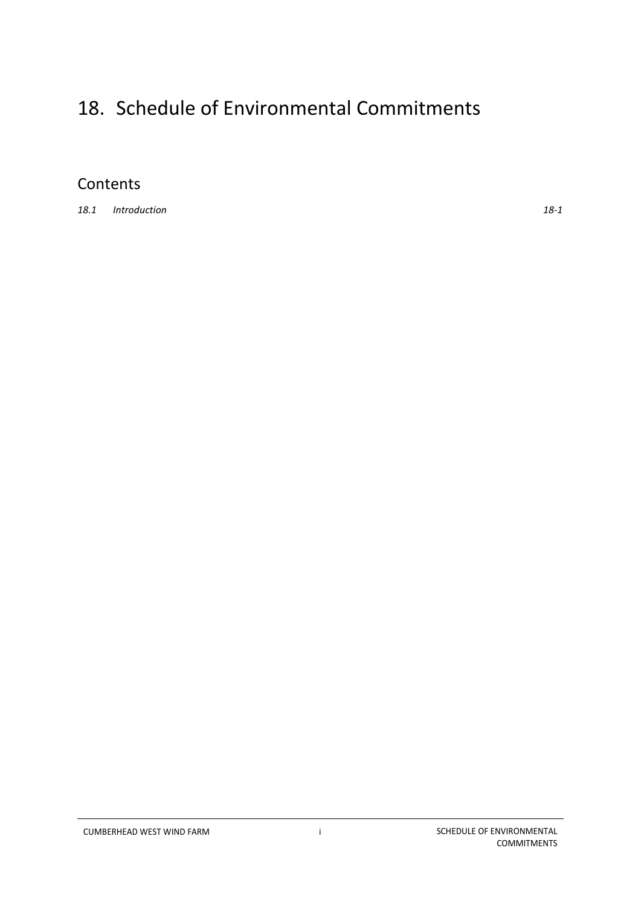# 18. Schedule of Environmental Commitments

## Contents

*18.1 [Introduction](#page-2-0) 18-1*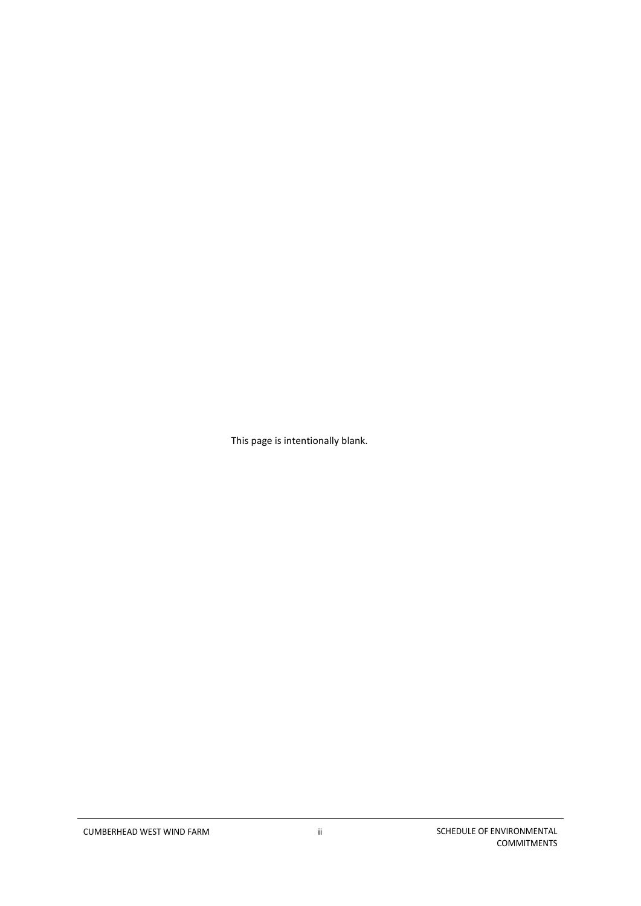This page is intentionally blank.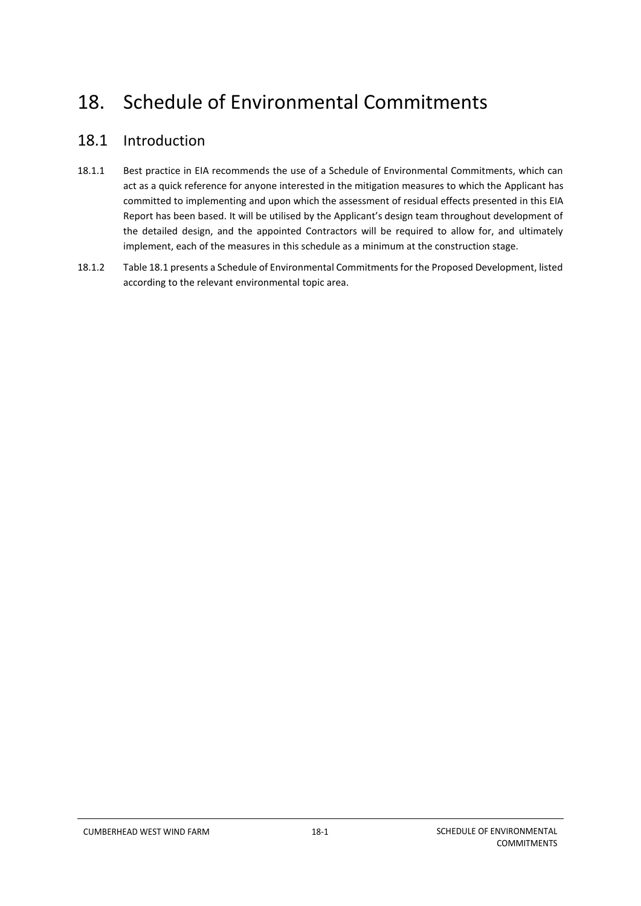## 18. Schedule of Environmental Commitments

### <span id="page-2-0"></span>18.1 Introduction

- 18.1.1 Best practice in EIA recommends the use of a Schedule of Environmental Commitments, which can act as a quick reference for anyone interested in the mitigation measures to which the Applicant has committed to implementing and upon which the assessment of residual effects presented in this EIA Report has been based. It will be utilised by the Applicant's design team throughout development of the detailed design, and the appointed Contractors will be required to allow for, and ultimately implement, each of the measures in this schedule as a minimum at the construction stage.
- 18.1.2 Table 18.1 presents a Schedule of Environmental Commitments for the Proposed Development, listed according to the relevant environmental topic area.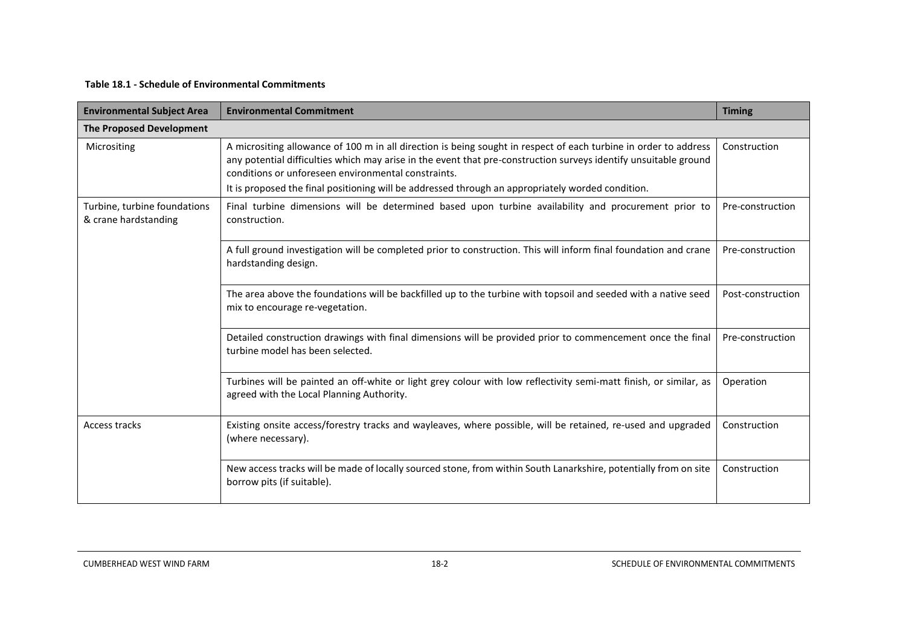#### **Table 18.1 - Schedule of Environmental Commitments**

| <b>Environmental Subject Area</b>                    | <b>Environmental Commitment</b>                                                                                                                                                                                                                                                                                                                                                                  | <b>Timing</b>     |
|------------------------------------------------------|--------------------------------------------------------------------------------------------------------------------------------------------------------------------------------------------------------------------------------------------------------------------------------------------------------------------------------------------------------------------------------------------------|-------------------|
| <b>The Proposed Development</b>                      |                                                                                                                                                                                                                                                                                                                                                                                                  |                   |
| Micrositing                                          | A micrositing allowance of 100 m in all direction is being sought in respect of each turbine in order to address<br>any potential difficulties which may arise in the event that pre-construction surveys identify unsuitable ground<br>conditions or unforeseen environmental constraints.<br>It is proposed the final positioning will be addressed through an appropriately worded condition. | Construction      |
| Turbine, turbine foundations<br>& crane hardstanding | Final turbine dimensions will be determined based upon turbine availability and procurement prior to<br>construction.                                                                                                                                                                                                                                                                            | Pre-construction  |
|                                                      | A full ground investigation will be completed prior to construction. This will inform final foundation and crane<br>hardstanding design.                                                                                                                                                                                                                                                         | Pre-construction  |
|                                                      | The area above the foundations will be backfilled up to the turbine with topsoil and seeded with a native seed<br>mix to encourage re-vegetation.                                                                                                                                                                                                                                                | Post-construction |
|                                                      | Detailed construction drawings with final dimensions will be provided prior to commencement once the final<br>turbine model has been selected.                                                                                                                                                                                                                                                   | Pre-construction  |
|                                                      | Turbines will be painted an off-white or light grey colour with low reflectivity semi-matt finish, or similar, as<br>agreed with the Local Planning Authority.                                                                                                                                                                                                                                   | Operation         |
| Access tracks                                        | Existing onsite access/forestry tracks and wayleaves, where possible, will be retained, re-used and upgraded<br>(where necessary).                                                                                                                                                                                                                                                               | Construction      |
|                                                      | New access tracks will be made of locally sourced stone, from within South Lanarkshire, potentially from on site<br>borrow pits (if suitable).                                                                                                                                                                                                                                                   | Construction      |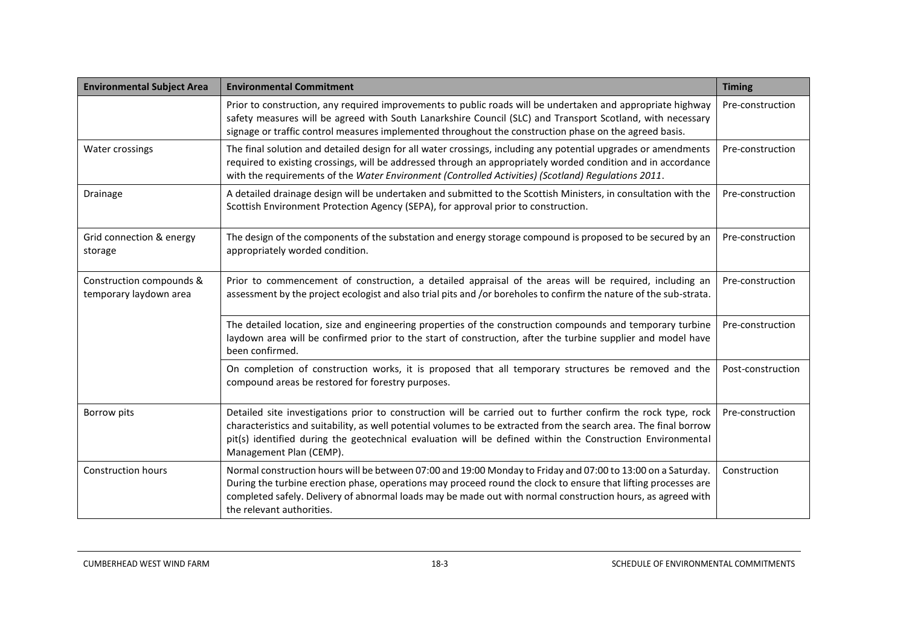| <b>Environmental Subject Area</b>                  | <b>Environmental Commitment</b>                                                                                                                                                                                                                                                                                                                                             | <b>Timing</b>     |
|----------------------------------------------------|-----------------------------------------------------------------------------------------------------------------------------------------------------------------------------------------------------------------------------------------------------------------------------------------------------------------------------------------------------------------------------|-------------------|
|                                                    | Prior to construction, any required improvements to public roads will be undertaken and appropriate highway<br>safety measures will be agreed with South Lanarkshire Council (SLC) and Transport Scotland, with necessary<br>signage or traffic control measures implemented throughout the construction phase on the agreed basis.                                         | Pre-construction  |
| Water crossings                                    | The final solution and detailed design for all water crossings, including any potential upgrades or amendments<br>required to existing crossings, will be addressed through an appropriately worded condition and in accordance<br>with the requirements of the Water Environment (Controlled Activities) (Scotland) Regulations 2011.                                      | Pre-construction  |
| Drainage                                           | A detailed drainage design will be undertaken and submitted to the Scottish Ministers, in consultation with the<br>Scottish Environment Protection Agency (SEPA), for approval prior to construction.                                                                                                                                                                       | Pre-construction  |
| Grid connection & energy<br>storage                | The design of the components of the substation and energy storage compound is proposed to be secured by an<br>appropriately worded condition.                                                                                                                                                                                                                               | Pre-construction  |
| Construction compounds &<br>temporary laydown area | Prior to commencement of construction, a detailed appraisal of the areas will be required, including an<br>assessment by the project ecologist and also trial pits and /or boreholes to confirm the nature of the sub-strata.                                                                                                                                               | Pre-construction  |
|                                                    | The detailed location, size and engineering properties of the construction compounds and temporary turbine<br>laydown area will be confirmed prior to the start of construction, after the turbine supplier and model have<br>been confirmed.                                                                                                                               | Pre-construction  |
|                                                    | On completion of construction works, it is proposed that all temporary structures be removed and the<br>compound areas be restored for forestry purposes.                                                                                                                                                                                                                   | Post-construction |
| Borrow pits                                        | Detailed site investigations prior to construction will be carried out to further confirm the rock type, rock<br>characteristics and suitability, as well potential volumes to be extracted from the search area. The final borrow<br>pit(s) identified during the geotechnical evaluation will be defined within the Construction Environmental<br>Management Plan (CEMP). | Pre-construction  |
| <b>Construction hours</b>                          | Normal construction hours will be between 07:00 and 19:00 Monday to Friday and 07:00 to 13:00 on a Saturday.<br>During the turbine erection phase, operations may proceed round the clock to ensure that lifting processes are<br>completed safely. Delivery of abnormal loads may be made out with normal construction hours, as agreed with<br>the relevant authorities.  | Construction      |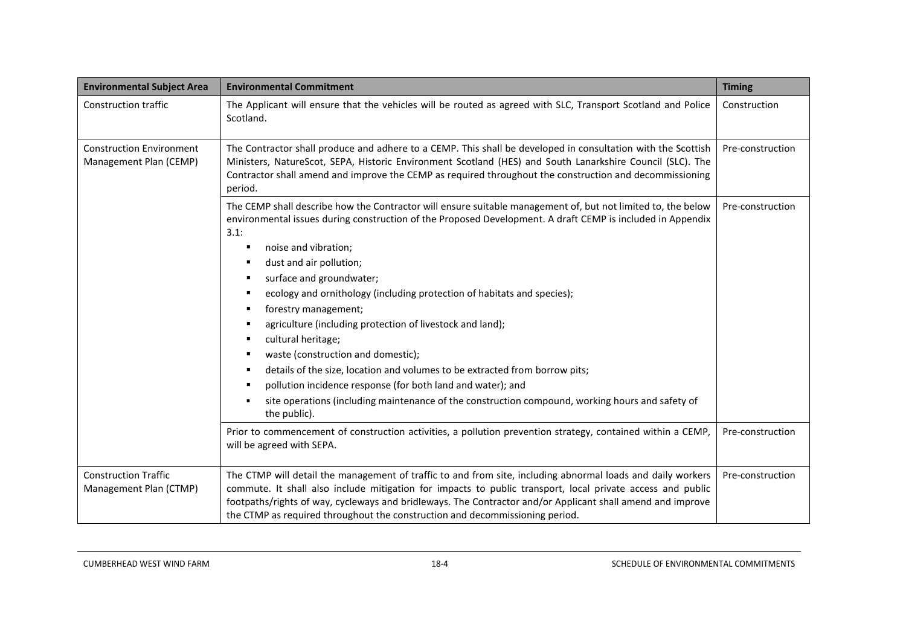| <b>Environmental Subject Area</b>                         | <b>Environmental Commitment</b>                                                                                                                                                                                                                                                                                                                                                                                                                                                                                                                                                                                                                                                                                                                                                                                                                                                                                                                              | <b>Timing</b>                        |
|-----------------------------------------------------------|--------------------------------------------------------------------------------------------------------------------------------------------------------------------------------------------------------------------------------------------------------------------------------------------------------------------------------------------------------------------------------------------------------------------------------------------------------------------------------------------------------------------------------------------------------------------------------------------------------------------------------------------------------------------------------------------------------------------------------------------------------------------------------------------------------------------------------------------------------------------------------------------------------------------------------------------------------------|--------------------------------------|
| <b>Construction traffic</b>                               | The Applicant will ensure that the vehicles will be routed as agreed with SLC, Transport Scotland and Police<br>Scotland.                                                                                                                                                                                                                                                                                                                                                                                                                                                                                                                                                                                                                                                                                                                                                                                                                                    | Construction                         |
| <b>Construction Environment</b><br>Management Plan (CEMP) | The Contractor shall produce and adhere to a CEMP. This shall be developed in consultation with the Scottish<br>Ministers, NatureScot, SEPA, Historic Environment Scotland (HES) and South Lanarkshire Council (SLC). The<br>Contractor shall amend and improve the CEMP as required throughout the construction and decommissioning<br>period.                                                                                                                                                                                                                                                                                                                                                                                                                                                                                                                                                                                                              | Pre-construction                     |
|                                                           | The CEMP shall describe how the Contractor will ensure suitable management of, but not limited to, the below<br>environmental issues during construction of the Proposed Development. A draft CEMP is included in Appendix<br>3.1:<br>noise and vibration;<br>п<br>dust and air pollution;<br>surface and groundwater;<br>п<br>ecology and ornithology (including protection of habitats and species);<br>forestry management;<br>п<br>agriculture (including protection of livestock and land);<br>п<br>cultural heritage;<br>٠<br>waste (construction and domestic);<br>٠<br>details of the size, location and volumes to be extracted from borrow pits;<br>pollution incidence response (for both land and water); and<br>site operations (including maintenance of the construction compound, working hours and safety of<br>the public).<br>Prior to commencement of construction activities, a pollution prevention strategy, contained within a CEMP, | Pre-construction<br>Pre-construction |
|                                                           | will be agreed with SEPA.                                                                                                                                                                                                                                                                                                                                                                                                                                                                                                                                                                                                                                                                                                                                                                                                                                                                                                                                    |                                      |
| <b>Construction Traffic</b><br>Management Plan (CTMP)     | The CTMP will detail the management of traffic to and from site, including abnormal loads and daily workers<br>commute. It shall also include mitigation for impacts to public transport, local private access and public<br>footpaths/rights of way, cycleways and bridleways. The Contractor and/or Applicant shall amend and improve<br>the CTMP as required throughout the construction and decommissioning period.                                                                                                                                                                                                                                                                                                                                                                                                                                                                                                                                      | Pre-construction                     |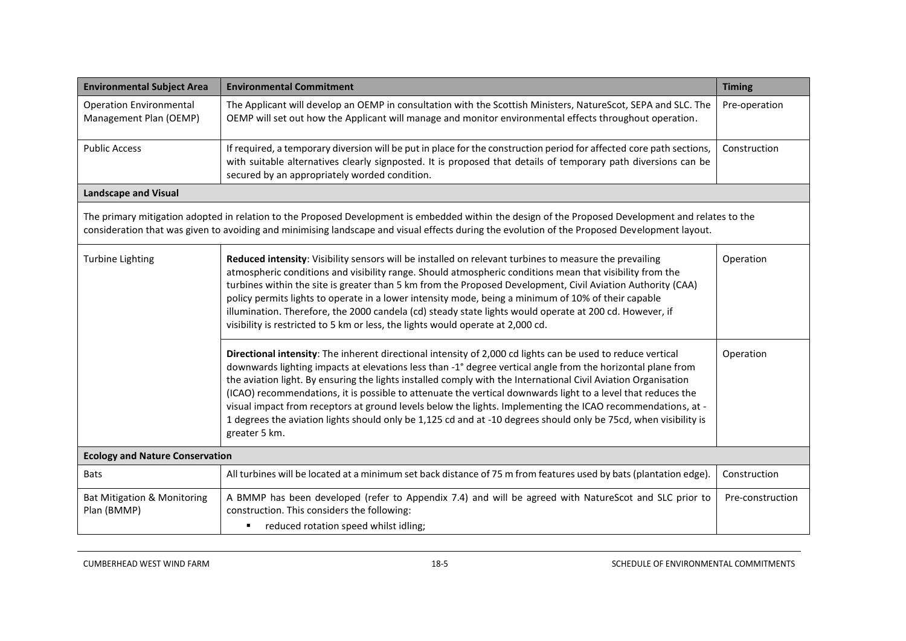| <b>Environmental Subject Area</b>                        | <b>Environmental Commitment</b>                                                                                                                                                                                                                                                                                                                                                                                                                                                                                                                                                                                                                                                                                  | <b>Timing</b>    |
|----------------------------------------------------------|------------------------------------------------------------------------------------------------------------------------------------------------------------------------------------------------------------------------------------------------------------------------------------------------------------------------------------------------------------------------------------------------------------------------------------------------------------------------------------------------------------------------------------------------------------------------------------------------------------------------------------------------------------------------------------------------------------------|------------------|
| <b>Operation Environmental</b><br>Management Plan (OEMP) | The Applicant will develop an OEMP in consultation with the Scottish Ministers, NatureScot, SEPA and SLC. The<br>OEMP will set out how the Applicant will manage and monitor environmental effects throughout operation.                                                                                                                                                                                                                                                                                                                                                                                                                                                                                         | Pre-operation    |
| <b>Public Access</b>                                     | If required, a temporary diversion will be put in place for the construction period for affected core path sections,<br>with suitable alternatives clearly signposted. It is proposed that details of temporary path diversions can be<br>secured by an appropriately worded condition.                                                                                                                                                                                                                                                                                                                                                                                                                          | Construction     |
| <b>Landscape and Visual</b>                              |                                                                                                                                                                                                                                                                                                                                                                                                                                                                                                                                                                                                                                                                                                                  |                  |
|                                                          | The primary mitigation adopted in relation to the Proposed Development is embedded within the design of the Proposed Development and relates to the<br>consideration that was given to avoiding and minimising landscape and visual effects during the evolution of the Proposed Development layout.                                                                                                                                                                                                                                                                                                                                                                                                             |                  |
| <b>Turbine Lighting</b>                                  | Reduced intensity: Visibility sensors will be installed on relevant turbines to measure the prevailing<br>atmospheric conditions and visibility range. Should atmospheric conditions mean that visibility from the<br>turbines within the site is greater than 5 km from the Proposed Development, Civil Aviation Authority (CAA)<br>policy permits lights to operate in a lower intensity mode, being a minimum of 10% of their capable<br>illumination. Therefore, the 2000 candela (cd) steady state lights would operate at 200 cd. However, if<br>visibility is restricted to 5 km or less, the lights would operate at 2,000 cd.                                                                           | Operation        |
|                                                          | Directional intensity: The inherent directional intensity of 2,000 cd lights can be used to reduce vertical<br>downwards lighting impacts at elevations less than -1° degree vertical angle from the horizontal plane from<br>the aviation light. By ensuring the lights installed comply with the International Civil Aviation Organisation<br>(ICAO) recommendations, it is possible to attenuate the vertical downwards light to a level that reduces the<br>visual impact from receptors at ground levels below the lights. Implementing the ICAO recommendations, at -<br>1 degrees the aviation lights should only be 1,125 cd and at -10 degrees should only be 75cd, when visibility is<br>greater 5 km. | Operation        |
| <b>Ecology and Nature Conservation</b>                   |                                                                                                                                                                                                                                                                                                                                                                                                                                                                                                                                                                                                                                                                                                                  |                  |
| <b>Bats</b>                                              | All turbines will be located at a minimum set back distance of 75 m from features used by bats (plantation edge).                                                                                                                                                                                                                                                                                                                                                                                                                                                                                                                                                                                                | Construction     |
| <b>Bat Mitigation &amp; Monitoring</b><br>Plan (BMMP)    | A BMMP has been developed (refer to Appendix 7.4) and will be agreed with NatureScot and SLC prior to<br>construction. This considers the following:<br>reduced rotation speed whilst idling;<br>٠                                                                                                                                                                                                                                                                                                                                                                                                                                                                                                               | Pre-construction |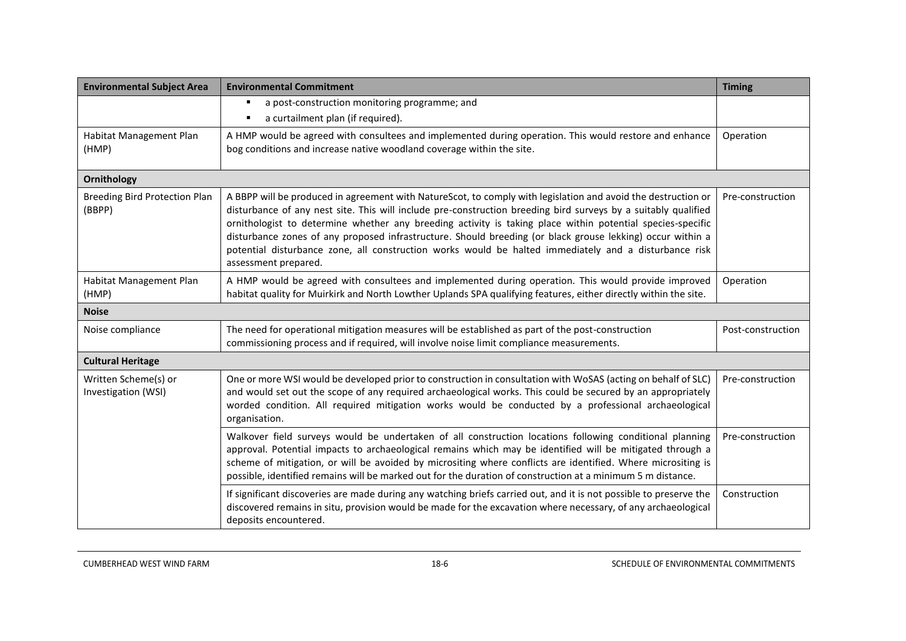| <b>Environmental Subject Area</b>              | <b>Environmental Commitment</b>                                                                                                                                                                                                                                                                                                                                                                                                                                                                                                                                                              | <b>Timing</b>     |
|------------------------------------------------|----------------------------------------------------------------------------------------------------------------------------------------------------------------------------------------------------------------------------------------------------------------------------------------------------------------------------------------------------------------------------------------------------------------------------------------------------------------------------------------------------------------------------------------------------------------------------------------------|-------------------|
|                                                | a post-construction monitoring programme; and<br>٠                                                                                                                                                                                                                                                                                                                                                                                                                                                                                                                                           |                   |
|                                                | a curtailment plan (if required).<br>٠                                                                                                                                                                                                                                                                                                                                                                                                                                                                                                                                                       |                   |
| Habitat Management Plan<br>(HMP)               | A HMP would be agreed with consultees and implemented during operation. This would restore and enhance<br>bog conditions and increase native woodland coverage within the site.                                                                                                                                                                                                                                                                                                                                                                                                              | Operation         |
| <b>Ornithology</b>                             |                                                                                                                                                                                                                                                                                                                                                                                                                                                                                                                                                                                              |                   |
| <b>Breeding Bird Protection Plan</b><br>(BBPP) | A BBPP will be produced in agreement with NatureScot, to comply with legislation and avoid the destruction or<br>disturbance of any nest site. This will include pre-construction breeding bird surveys by a suitably qualified<br>ornithologist to determine whether any breeding activity is taking place within potential species-specific<br>disturbance zones of any proposed infrastructure. Should breeding (or black grouse lekking) occur within a<br>potential disturbance zone, all construction works would be halted immediately and a disturbance risk<br>assessment prepared. | Pre-construction  |
| Habitat Management Plan<br>(HMP)               | A HMP would be agreed with consultees and implemented during operation. This would provide improved<br>habitat quality for Muirkirk and North Lowther Uplands SPA qualifying features, either directly within the site.                                                                                                                                                                                                                                                                                                                                                                      | Operation         |
| <b>Noise</b>                                   |                                                                                                                                                                                                                                                                                                                                                                                                                                                                                                                                                                                              |                   |
| Noise compliance                               | The need for operational mitigation measures will be established as part of the post-construction<br>commissioning process and if required, will involve noise limit compliance measurements.                                                                                                                                                                                                                                                                                                                                                                                                | Post-construction |
| <b>Cultural Heritage</b>                       |                                                                                                                                                                                                                                                                                                                                                                                                                                                                                                                                                                                              |                   |
| Written Scheme(s) or<br>Investigation (WSI)    | One or more WSI would be developed prior to construction in consultation with WoSAS (acting on behalf of SLC)<br>and would set out the scope of any required archaeological works. This could be secured by an appropriately<br>worded condition. All required mitigation works would be conducted by a professional archaeological<br>organisation.                                                                                                                                                                                                                                         | Pre-construction  |
|                                                | Walkover field surveys would be undertaken of all construction locations following conditional planning<br>approval. Potential impacts to archaeological remains which may be identified will be mitigated through a<br>scheme of mitigation, or will be avoided by micrositing where conflicts are identified. Where micrositing is<br>possible, identified remains will be marked out for the duration of construction at a minimum 5 m distance.                                                                                                                                          | Pre-construction  |
|                                                | If significant discoveries are made during any watching briefs carried out, and it is not possible to preserve the<br>discovered remains in situ, provision would be made for the excavation where necessary, of any archaeological<br>deposits encountered.                                                                                                                                                                                                                                                                                                                                 | Construction      |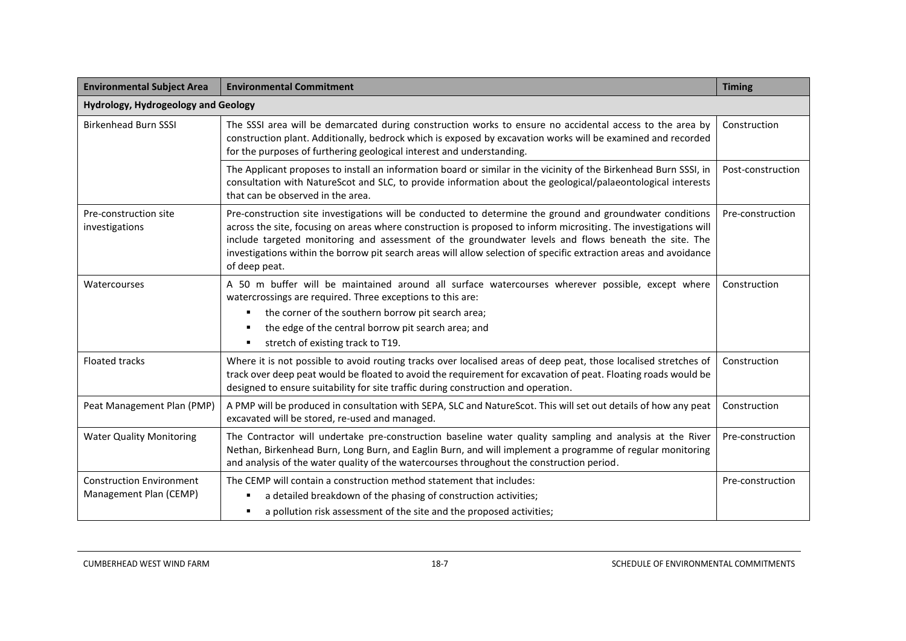| <b>Environmental Subject Area</b>                         | <b>Environmental Commitment</b>                                                                                                                                                                                                                                                                                                                                                                                                                                             | <b>Timing</b>     |
|-----------------------------------------------------------|-----------------------------------------------------------------------------------------------------------------------------------------------------------------------------------------------------------------------------------------------------------------------------------------------------------------------------------------------------------------------------------------------------------------------------------------------------------------------------|-------------------|
| Hydrology, Hydrogeology and Geology                       |                                                                                                                                                                                                                                                                                                                                                                                                                                                                             |                   |
| <b>Birkenhead Burn SSSI</b>                               | The SSSI area will be demarcated during construction works to ensure no accidental access to the area by<br>construction plant. Additionally, bedrock which is exposed by excavation works will be examined and recorded<br>for the purposes of furthering geological interest and understanding.                                                                                                                                                                           | Construction      |
|                                                           | The Applicant proposes to install an information board or similar in the vicinity of the Birkenhead Burn SSSI, in<br>consultation with NatureScot and SLC, to provide information about the geological/palaeontological interests<br>that can be observed in the area.                                                                                                                                                                                                      | Post-construction |
| Pre-construction site<br>investigations                   | Pre-construction site investigations will be conducted to determine the ground and groundwater conditions<br>across the site, focusing on areas where construction is proposed to inform micrositing. The investigations will<br>include targeted monitoring and assessment of the groundwater levels and flows beneath the site. The<br>investigations within the borrow pit search areas will allow selection of specific extraction areas and avoidance<br>of deep peat. | Pre-construction  |
| Watercourses                                              | A 50 m buffer will be maintained around all surface watercourses wherever possible, except where<br>watercrossings are required. Three exceptions to this are:<br>the corner of the southern borrow pit search area;<br>٠<br>the edge of the central borrow pit search area; and<br>٠<br>stretch of existing track to T19.                                                                                                                                                  | Construction      |
| <b>Floated tracks</b>                                     | Where it is not possible to avoid routing tracks over localised areas of deep peat, those localised stretches of<br>track over deep peat would be floated to avoid the requirement for excavation of peat. Floating roads would be<br>designed to ensure suitability for site traffic during construction and operation.                                                                                                                                                    | Construction      |
| Peat Management Plan (PMP)                                | A PMP will be produced in consultation with SEPA, SLC and NatureScot. This will set out details of how any peat<br>excavated will be stored, re-used and managed.                                                                                                                                                                                                                                                                                                           | Construction      |
| <b>Water Quality Monitoring</b>                           | The Contractor will undertake pre-construction baseline water quality sampling and analysis at the River<br>Nethan, Birkenhead Burn, Long Burn, and Eaglin Burn, and will implement a programme of regular monitoring<br>and analysis of the water quality of the watercourses throughout the construction period.                                                                                                                                                          | Pre-construction  |
| <b>Construction Environment</b><br>Management Plan (CEMP) | The CEMP will contain a construction method statement that includes:<br>a detailed breakdown of the phasing of construction activities;<br>٠<br>a pollution risk assessment of the site and the proposed activities;<br>٠                                                                                                                                                                                                                                                   | Pre-construction  |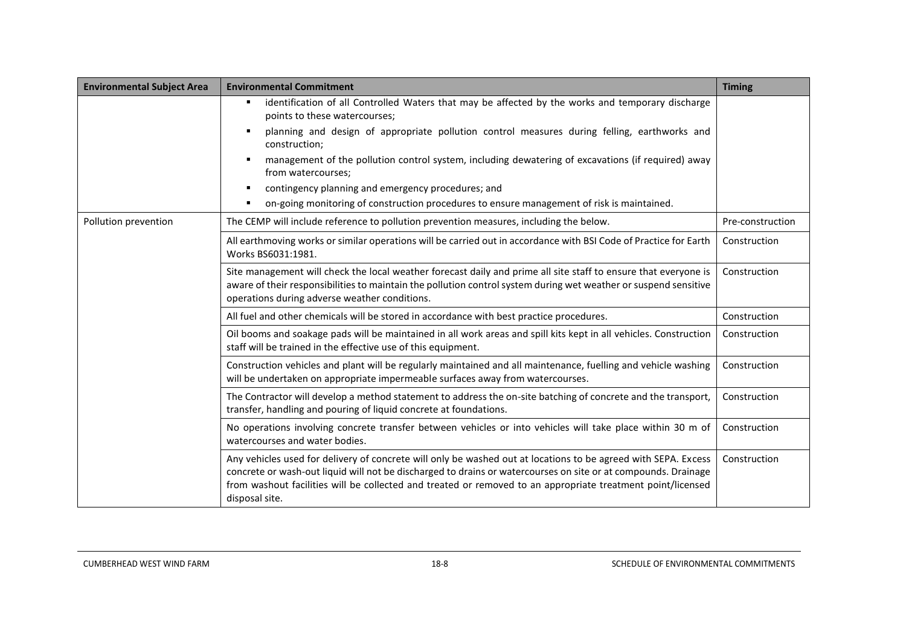| <b>Environmental Subject Area</b> | <b>Environmental Commitment</b>                                                                                                                                                                                                                                                                                                                                   | <b>Timing</b>    |
|-----------------------------------|-------------------------------------------------------------------------------------------------------------------------------------------------------------------------------------------------------------------------------------------------------------------------------------------------------------------------------------------------------------------|------------------|
|                                   | identification of all Controlled Waters that may be affected by the works and temporary discharge<br>٠<br>points to these watercourses;                                                                                                                                                                                                                           |                  |
|                                   | planning and design of appropriate pollution control measures during felling, earthworks and<br>$\blacksquare$<br>construction;                                                                                                                                                                                                                                   |                  |
|                                   | management of the pollution control system, including dewatering of excavations (if required) away<br>٠<br>from watercourses;                                                                                                                                                                                                                                     |                  |
|                                   | contingency planning and emergency procedures; and                                                                                                                                                                                                                                                                                                                |                  |
|                                   | on-going monitoring of construction procedures to ensure management of risk is maintained.                                                                                                                                                                                                                                                                        |                  |
| Pollution prevention              | The CEMP will include reference to pollution prevention measures, including the below.                                                                                                                                                                                                                                                                            | Pre-construction |
|                                   | All earthmoving works or similar operations will be carried out in accordance with BSI Code of Practice for Earth<br>Works BS6031:1981.                                                                                                                                                                                                                           | Construction     |
|                                   | Site management will check the local weather forecast daily and prime all site staff to ensure that everyone is<br>aware of their responsibilities to maintain the pollution control system during wet weather or suspend sensitive<br>operations during adverse weather conditions.                                                                              | Construction     |
|                                   | All fuel and other chemicals will be stored in accordance with best practice procedures.                                                                                                                                                                                                                                                                          | Construction     |
|                                   | Oil booms and soakage pads will be maintained in all work areas and spill kits kept in all vehicles. Construction<br>staff will be trained in the effective use of this equipment.                                                                                                                                                                                | Construction     |
|                                   | Construction vehicles and plant will be regularly maintained and all maintenance, fuelling and vehicle washing<br>will be undertaken on appropriate impermeable surfaces away from watercourses.                                                                                                                                                                  | Construction     |
|                                   | The Contractor will develop a method statement to address the on-site batching of concrete and the transport,<br>transfer, handling and pouring of liquid concrete at foundations.                                                                                                                                                                                | Construction     |
|                                   | No operations involving concrete transfer between vehicles or into vehicles will take place within 30 m of<br>watercourses and water bodies.                                                                                                                                                                                                                      | Construction     |
|                                   | Any vehicles used for delivery of concrete will only be washed out at locations to be agreed with SEPA. Excess<br>concrete or wash-out liquid will not be discharged to drains or watercourses on site or at compounds. Drainage<br>from washout facilities will be collected and treated or removed to an appropriate treatment point/licensed<br>disposal site. | Construction     |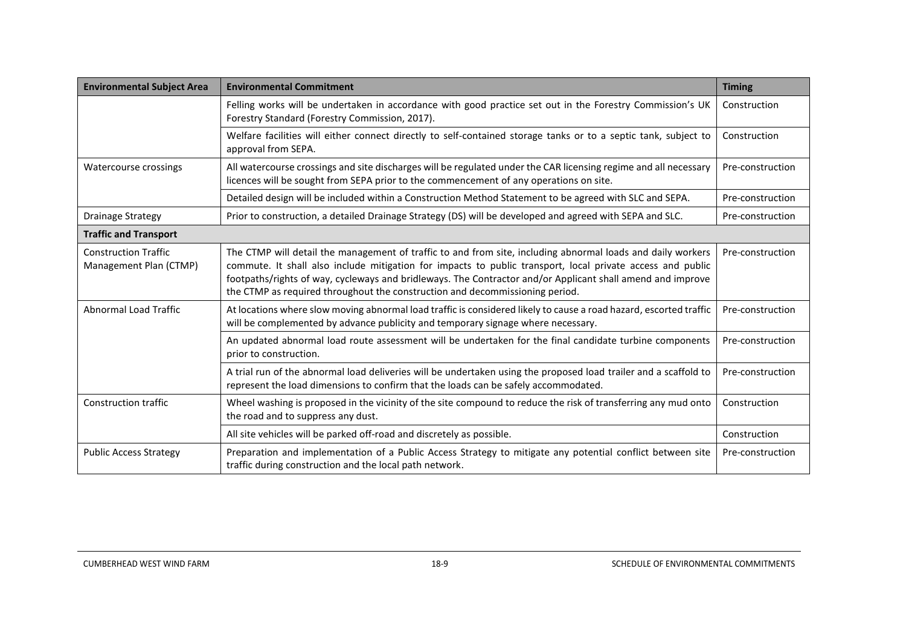| <b>Environmental Subject Area</b>                     | <b>Environmental Commitment</b>                                                                                                                                                                                                                                                                                                                                                                                         | <b>Timing</b>    |
|-------------------------------------------------------|-------------------------------------------------------------------------------------------------------------------------------------------------------------------------------------------------------------------------------------------------------------------------------------------------------------------------------------------------------------------------------------------------------------------------|------------------|
|                                                       | Felling works will be undertaken in accordance with good practice set out in the Forestry Commission's UK<br>Forestry Standard (Forestry Commission, 2017).                                                                                                                                                                                                                                                             | Construction     |
|                                                       | Welfare facilities will either connect directly to self-contained storage tanks or to a septic tank, subject to<br>approval from SEPA.                                                                                                                                                                                                                                                                                  | Construction     |
| Watercourse crossings                                 | All watercourse crossings and site discharges will be regulated under the CAR licensing regime and all necessary<br>licences will be sought from SEPA prior to the commencement of any operations on site.                                                                                                                                                                                                              | Pre-construction |
|                                                       | Detailed design will be included within a Construction Method Statement to be agreed with SLC and SEPA.                                                                                                                                                                                                                                                                                                                 | Pre-construction |
| Drainage Strategy                                     | Prior to construction, a detailed Drainage Strategy (DS) will be developed and agreed with SEPA and SLC.                                                                                                                                                                                                                                                                                                                | Pre-construction |
| <b>Traffic and Transport</b>                          |                                                                                                                                                                                                                                                                                                                                                                                                                         |                  |
| <b>Construction Traffic</b><br>Management Plan (CTMP) | The CTMP will detail the management of traffic to and from site, including abnormal loads and daily workers<br>commute. It shall also include mitigation for impacts to public transport, local private access and public<br>footpaths/rights of way, cycleways and bridleways. The Contractor and/or Applicant shall amend and improve<br>the CTMP as required throughout the construction and decommissioning period. | Pre-construction |
| <b>Abnormal Load Traffic</b>                          | At locations where slow moving abnormal load traffic is considered likely to cause a road hazard, escorted traffic<br>will be complemented by advance publicity and temporary signage where necessary.                                                                                                                                                                                                                  | Pre-construction |
|                                                       | An updated abnormal load route assessment will be undertaken for the final candidate turbine components<br>prior to construction.                                                                                                                                                                                                                                                                                       | Pre-construction |
|                                                       | A trial run of the abnormal load deliveries will be undertaken using the proposed load trailer and a scaffold to<br>represent the load dimensions to confirm that the loads can be safely accommodated.                                                                                                                                                                                                                 | Pre-construction |
| Construction traffic                                  | Wheel washing is proposed in the vicinity of the site compound to reduce the risk of transferring any mud onto<br>the road and to suppress any dust.                                                                                                                                                                                                                                                                    | Construction     |
|                                                       | All site vehicles will be parked off-road and discretely as possible.                                                                                                                                                                                                                                                                                                                                                   | Construction     |
| <b>Public Access Strategy</b>                         | Preparation and implementation of a Public Access Strategy to mitigate any potential conflict between site<br>traffic during construction and the local path network.                                                                                                                                                                                                                                                   | Pre-construction |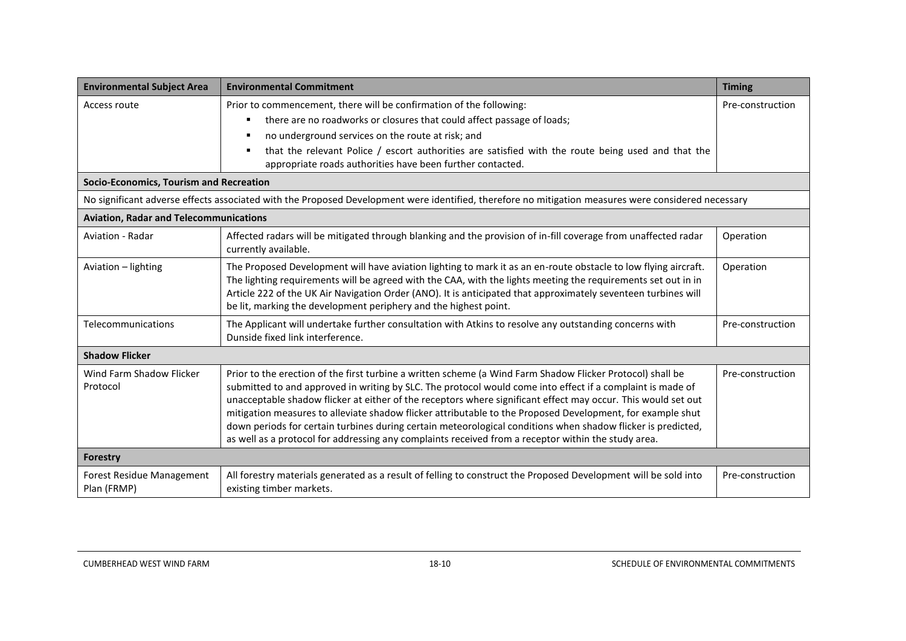| <b>Environmental Subject Area</b>             | <b>Environmental Commitment</b>                                                                                                                                                                                                                                                                                                                                                                                                                                                                                                                                                                                                                                                | <b>Timing</b>    |
|-----------------------------------------------|--------------------------------------------------------------------------------------------------------------------------------------------------------------------------------------------------------------------------------------------------------------------------------------------------------------------------------------------------------------------------------------------------------------------------------------------------------------------------------------------------------------------------------------------------------------------------------------------------------------------------------------------------------------------------------|------------------|
| Access route                                  | Prior to commencement, there will be confirmation of the following:                                                                                                                                                                                                                                                                                                                                                                                                                                                                                                                                                                                                            | Pre-construction |
|                                               | there are no roadworks or closures that could affect passage of loads;<br>٠                                                                                                                                                                                                                                                                                                                                                                                                                                                                                                                                                                                                    |                  |
|                                               | no underground services on the route at risk; and<br>٠                                                                                                                                                                                                                                                                                                                                                                                                                                                                                                                                                                                                                         |                  |
|                                               | that the relevant Police / escort authorities are satisfied with the route being used and that the<br>$\blacksquare$<br>appropriate roads authorities have been further contacted.                                                                                                                                                                                                                                                                                                                                                                                                                                                                                             |                  |
| Socio-Economics, Tourism and Recreation       |                                                                                                                                                                                                                                                                                                                                                                                                                                                                                                                                                                                                                                                                                |                  |
|                                               | No significant adverse effects associated with the Proposed Development were identified, therefore no mitigation measures were considered necessary                                                                                                                                                                                                                                                                                                                                                                                                                                                                                                                            |                  |
| <b>Aviation, Radar and Telecommunications</b> |                                                                                                                                                                                                                                                                                                                                                                                                                                                                                                                                                                                                                                                                                |                  |
| <b>Aviation - Radar</b>                       | Affected radars will be mitigated through blanking and the provision of in-fill coverage from unaffected radar<br>currently available.                                                                                                                                                                                                                                                                                                                                                                                                                                                                                                                                         | Operation        |
| Aviation - lighting                           | The Proposed Development will have aviation lighting to mark it as an en-route obstacle to low flying aircraft.<br>The lighting requirements will be agreed with the CAA, with the lights meeting the requirements set out in in<br>Article 222 of the UK Air Navigation Order (ANO). It is anticipated that approximately seventeen turbines will<br>be lit, marking the development periphery and the highest point.                                                                                                                                                                                                                                                         | Operation        |
| Telecommunications                            | The Applicant will undertake further consultation with Atkins to resolve any outstanding concerns with<br>Dunside fixed link interference.                                                                                                                                                                                                                                                                                                                                                                                                                                                                                                                                     | Pre-construction |
| <b>Shadow Flicker</b>                         |                                                                                                                                                                                                                                                                                                                                                                                                                                                                                                                                                                                                                                                                                |                  |
| Wind Farm Shadow Flicker<br>Protocol          | Prior to the erection of the first turbine a written scheme (a Wind Farm Shadow Flicker Protocol) shall be<br>submitted to and approved in writing by SLC. The protocol would come into effect if a complaint is made of<br>unacceptable shadow flicker at either of the receptors where significant effect may occur. This would set out<br>mitigation measures to alleviate shadow flicker attributable to the Proposed Development, for example shut<br>down periods for certain turbines during certain meteorological conditions when shadow flicker is predicted,<br>as well as a protocol for addressing any complaints received from a receptor within the study area. | Pre-construction |
| <b>Forestry</b>                               |                                                                                                                                                                                                                                                                                                                                                                                                                                                                                                                                                                                                                                                                                |                  |
| Forest Residue Management<br>Plan (FRMP)      | All forestry materials generated as a result of felling to construct the Proposed Development will be sold into<br>existing timber markets.                                                                                                                                                                                                                                                                                                                                                                                                                                                                                                                                    | Pre-construction |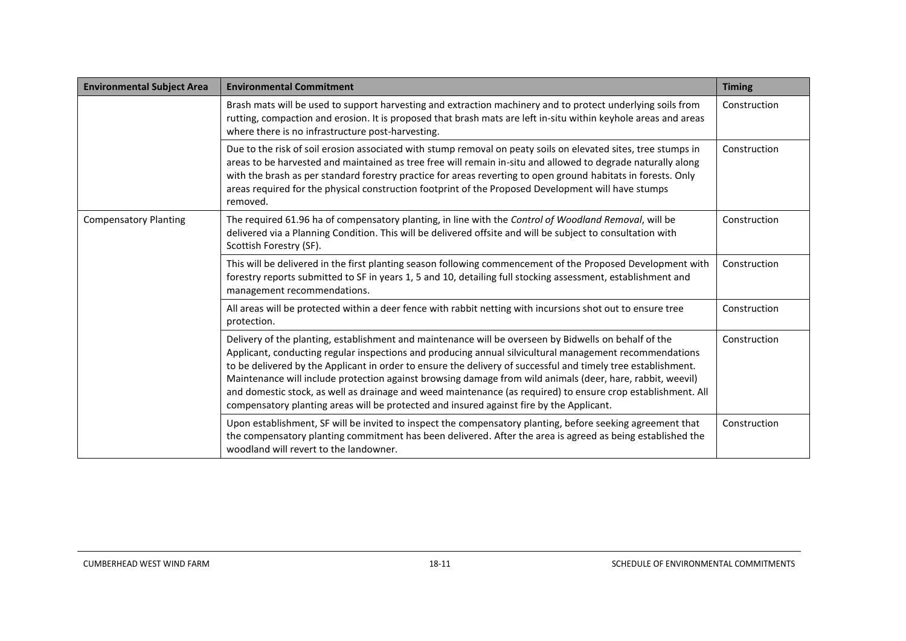| <b>Environmental Subject Area</b> | <b>Environmental Commitment</b>                                                                                                                                                                                                                                                                                                                                                                                                                                                                                                                                                                                                                             | <b>Timing</b> |
|-----------------------------------|-------------------------------------------------------------------------------------------------------------------------------------------------------------------------------------------------------------------------------------------------------------------------------------------------------------------------------------------------------------------------------------------------------------------------------------------------------------------------------------------------------------------------------------------------------------------------------------------------------------------------------------------------------------|---------------|
|                                   | Brash mats will be used to support harvesting and extraction machinery and to protect underlying soils from<br>rutting, compaction and erosion. It is proposed that brash mats are left in-situ within keyhole areas and areas<br>where there is no infrastructure post-harvesting.                                                                                                                                                                                                                                                                                                                                                                         | Construction  |
|                                   | Due to the risk of soil erosion associated with stump removal on peaty soils on elevated sites, tree stumps in<br>areas to be harvested and maintained as tree free will remain in-situ and allowed to degrade naturally along<br>with the brash as per standard forestry practice for areas reverting to open ground habitats in forests. Only<br>areas required for the physical construction footprint of the Proposed Development will have stumps<br>removed.                                                                                                                                                                                          | Construction  |
| <b>Compensatory Planting</b>      | The required 61.96 ha of compensatory planting, in line with the Control of Woodland Removal, will be<br>delivered via a Planning Condition. This will be delivered offsite and will be subject to consultation with<br>Scottish Forestry (SF).                                                                                                                                                                                                                                                                                                                                                                                                             | Construction  |
|                                   | This will be delivered in the first planting season following commencement of the Proposed Development with<br>forestry reports submitted to SF in years 1, 5 and 10, detailing full stocking assessment, establishment and<br>management recommendations.                                                                                                                                                                                                                                                                                                                                                                                                  | Construction  |
|                                   | All areas will be protected within a deer fence with rabbit netting with incursions shot out to ensure tree<br>protection.                                                                                                                                                                                                                                                                                                                                                                                                                                                                                                                                  | Construction  |
|                                   | Delivery of the planting, establishment and maintenance will be overseen by Bidwells on behalf of the<br>Applicant, conducting regular inspections and producing annual silvicultural management recommendations<br>to be delivered by the Applicant in order to ensure the delivery of successful and timely tree establishment.<br>Maintenance will include protection against browsing damage from wild animals (deer, hare, rabbit, weevil)<br>and domestic stock, as well as drainage and weed maintenance (as required) to ensure crop establishment. All<br>compensatory planting areas will be protected and insured against fire by the Applicant. | Construction  |
|                                   | Upon establishment, SF will be invited to inspect the compensatory planting, before seeking agreement that<br>the compensatory planting commitment has been delivered. After the area is agreed as being established the<br>woodland will revert to the landowner.                                                                                                                                                                                                                                                                                                                                                                                          | Construction  |